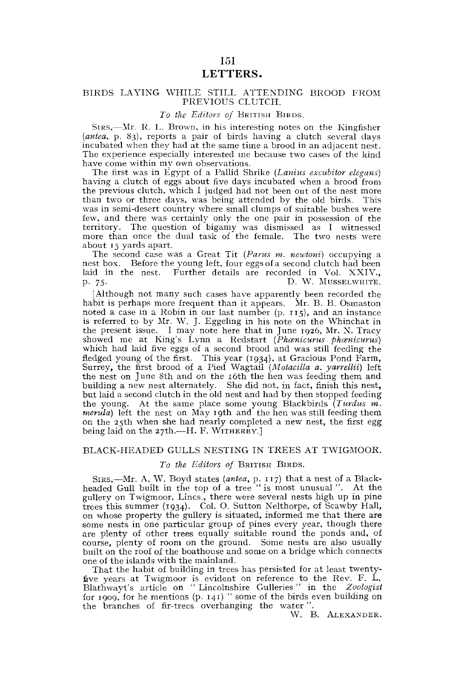# 151 LETTERS.

## BIRDS LAYING WHILE STILL ATTENDING BROOD FROM PREVIOUS CLUTCH.

## *To the Editors of* BRITISH BIRDS.

SIRS,—Mr. R. L. Brown, in his interesting notes on the Kingfisher *(antea,* p. 83), reports a pair of birds having a clutch several days incubated when they had at the same time a brood in an adjacent nest. The experience especially interested me because two cases of the kind have come within my own observations.

The first was in Egypt of a Pallid Shrike *(Lanius excubitor elegans)*  having a clutch of eggs about five days incubated when a brood from the previous clutch, which I judged had not been out of the nest more than two or three days, was being attended by the old birds. This was in semi-desert country where small clumps of suitable bushes were few, and there was certainly only the one pair in possession of the territory. The question of bigamy was dismissed as I witnessed more than once the dual task of the female. The two nests were about 15 yards apart.

The second case was a Great Tit *(Parus m. newtoni)* occupying a nest box. Before the young left, four eggs of a second clutch had been laid in the nest. Further details are recorded in Vol. XXIV., p . 75. D. W. MUSSELWHITE.

[Although not many such cases have apparently been recorded the habit is perhaps more frequent than it appears. Mr. B. B. Osmaston noted a case in a Robin in our last number (p. 115), and an instance is referred to by Mr. W. J. Eggeling in his note on the Whinchat in the present issue. I may note here that in June 1926, Mr. N. Tracy showed me at King's Lynn a Redstart (Phænicurus phænicurus) which had laid five eggs of a second brood and was still feeding the fledged young of the first. This year (1934), at Gracious Pond Farm, Surrey, the first brood of a Pied Wagtail (Motacilla a. yarrellii) left the nest on June 8th and on the 16th the hen was feeding them and building a new nest alternately. She did not, in fact, finish this nest, but laid a second clutch in the old nest and had by then stopped feeding the young. At the same place some young Blackbirds *(Turdus m. merula)* left the nest on May 19th and the hen was still feeding them on the 25th when she had nearly completed a new nest, the first egg being laid on the 27th.—H, F. WITHERBV.]

## BLACK-HEADED GULLS NESTING IN TREES AT TWIGMOOR.

## *To the Editors of* BRITISH BIRDS.

SIRS,—Mr. A. W. Boyd states *(antea,* p. 117) that a nest of a Blackheaded Gull built in the top of a tree "is most unusual". At the gullery on Twigmoor, Lines., there were several nests high up in pine trees this summer (1934). Col. O. Sutton Nelthorpe, of Scawby Hall, on whose property the gullery is situated, informed me that there are some nests in one particular group of pines every year, though, there are plenty of other trees equally suitable round the ponds and, of course, plenty of room on the ground. Some nests are also usually built on the roof of the boathouse and some on a bridge which connects one of the islands with the mainland.

That the habit of building in trees has persisted for at least twentyfive years at Twigmoor is evident on reference to the Rev. F. L. Blatlrwayt's article on " Lincolnshire Gulleries" in the *Zoologist*  for 1909, for he mentions  $(p. 141)$  " some of the birds even building on the branches of fir-trees overhanging the water"

W. B. ALEXANDER.